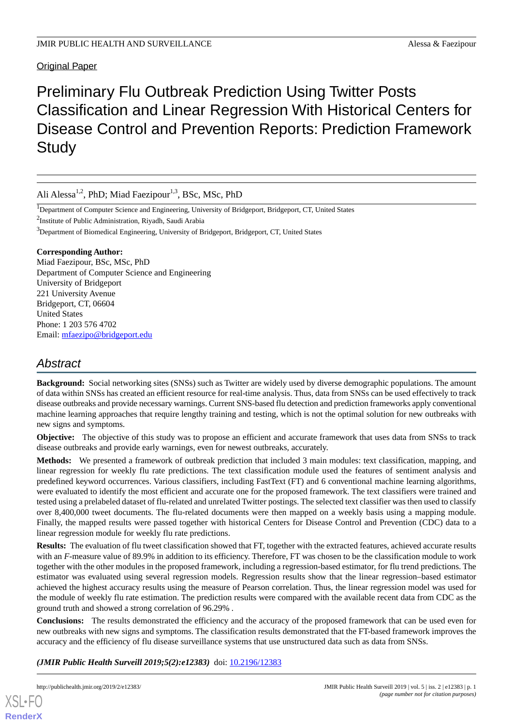Original Paper

# Preliminary Flu Outbreak Prediction Using Twitter Posts Classification and Linear Regression With Historical Centers for Disease Control and Prevention Reports: Prediction Framework **Study**

Ali Alessa<sup>1,2</sup>, PhD; Miad Faezipour<sup>1,3</sup>, BSc, MSc, PhD

<sup>1</sup>Department of Computer Science and Engineering, University of Bridgeport, Bridgeport, CT, United States

<sup>2</sup>Institute of Public Administration, Riyadh, Saudi Arabia

<sup>3</sup>Department of Biomedical Engineering, University of Bridgeport, Bridgeport, CT, United States

#### **Corresponding Author:**

Miad Faezipour, BSc, MSc, PhD Department of Computer Science and Engineering University of Bridgeport 221 University Avenue Bridgeport, CT, 06604 United States Phone: 1 203 576 4702 Email: [mfaezipo@bridgeport.edu](mailto:mfaezipo@bridgeport.edu)

# *Abstract*

**Background:** Social networking sites (SNSs) such as Twitter are widely used by diverse demographic populations. The amount of data within SNSs has created an efficient resource for real-time analysis. Thus, data from SNSs can be used effectively to track disease outbreaks and provide necessary warnings. Current SNS-based flu detection and prediction frameworks apply conventional machine learning approaches that require lengthy training and testing, which is not the optimal solution for new outbreaks with new signs and symptoms.

**Objective:** The objective of this study was to propose an efficient and accurate framework that uses data from SNSs to track disease outbreaks and provide early warnings, even for newest outbreaks, accurately.

**Methods:** We presented a framework of outbreak prediction that included 3 main modules: text classification, mapping, and linear regression for weekly flu rate predictions. The text classification module used the features of sentiment analysis and predefined keyword occurrences. Various classifiers, including FastText (FT) and 6 conventional machine learning algorithms, were evaluated to identify the most efficient and accurate one for the proposed framework. The text classifiers were trained and tested using a prelabeled dataset of flu-related and unrelated Twitter postings. The selected text classifier was then used to classify over 8,400,000 tweet documents. The flu-related documents were then mapped on a weekly basis using a mapping module. Finally, the mapped results were passed together with historical Centers for Disease Control and Prevention (CDC) data to a linear regression module for weekly flu rate predictions.

**Results:** The evaluation of flu tweet classification showed that FT, together with the extracted features, achieved accurate results with an *F*-measure value of 89.9% in addition to its efficiency. Therefore, FT was chosen to be the classification module to work together with the other modules in the proposed framework, including a regression-based estimator, for flu trend predictions. The estimator was evaluated using several regression models. Regression results show that the linear regression–based estimator achieved the highest accuracy results using the measure of Pearson correlation. Thus, the linear regression model was used for the module of weekly flu rate estimation. The prediction results were compared with the available recent data from CDC as the ground truth and showed a strong correlation of 96.29% *.*

**Conclusions:** The results demonstrated the efficiency and the accuracy of the proposed framework that can be used even for new outbreaks with new signs and symptoms. The classification results demonstrated that the FT-based framework improves the accuracy and the efficiency of flu disease surveillance systems that use unstructured data such as data from SNSs.

*(JMIR Public Health Surveill 2019;5(2):e12383)* doi: **10.2196/12383**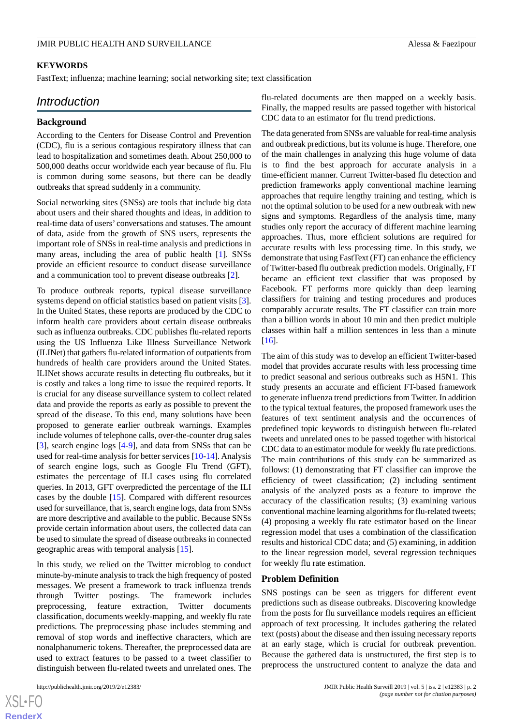#### **KEYWORDS**

FastText; influenza; machine learning; social networking site; text classification

# *Introduction*

#### **Background**

According to the Centers for Disease Control and Prevention (CDC), flu is a serious contagious respiratory illness that can lead to hospitalization and sometimes death. About 250,000 to 500,000 deaths occur worldwide each year because of flu. Flu is common during some seasons, but there can be deadly outbreaks that spread suddenly in a community.

Social networking sites (SNSs) are tools that include big data about users and their shared thoughts and ideas, in addition to real-time data of users' conversations and statuses. The amount of data, aside from the growth of SNS users, represents the important role of SNSs in real-time analysis and predictions in many areas, including the area of public health [[1\]](#page-14-0). SNSs provide an efficient resource to conduct disease surveillance and a communication tool to prevent disease outbreaks [[2\]](#page-14-1).

To produce outbreak reports, typical disease surveillance systems depend on official statistics based on patient visits [[3\]](#page-14-2). In the United States, these reports are produced by the CDC to inform health care providers about certain disease outbreaks such as influenza outbreaks. CDC publishes flu-related reports using the US Influenza Like Illness Surveillance Network (ILINet) that gathers flu-related information of outpatients from hundreds of health care providers around the United States. ILINet shows accurate results in detecting flu outbreaks, but it is costly and takes a long time to issue the required reports. It is crucial for any disease surveillance system to collect related data and provide the reports as early as possible to prevent the spread of the disease. To this end, many solutions have been proposed to generate earlier outbreak warnings. Examples include volumes of telephone calls, over-the-counter drug sales [[3\]](#page-14-2), search engine logs [[4-](#page-14-3)[9](#page-14-4)], and data from SNSs that can be used for real-time analysis for better services [[10](#page-14-5)[-14](#page-14-6)]. Analysis of search engine logs, such as Google Flu Trend (GFT), estimates the percentage of ILI cases using flu correlated queries. In 2013, GFT overpredicted the percentage of the ILI cases by the double [\[15](#page-14-7)]. Compared with different resources used for surveillance, that is, search engine logs, data from SNSs are more descriptive and available to the public. Because SNSs provide certain information about users, the collected data can be used to simulate the spread of disease outbreaks in connected geographic areas with temporal analysis [[15\]](#page-14-7).

In this study, we relied on the Twitter microblog to conduct minute-by-minute analysis to track the high frequency of posted messages. We present a framework to track influenza trends through Twitter postings. The framework includes preprocessing, feature extraction, Twitter documents classification, documents weekly-mapping, and weekly flu rate predictions. The preprocessing phase includes stemming and removal of stop words and ineffective characters, which are nonalphanumeric tokens. Thereafter, the preprocessed data are used to extract features to be passed to a tweet classifier to distinguish between flu-related tweets and unrelated ones. The

 $XS$ -FO **[RenderX](http://www.renderx.com/)**

flu-related documents are then mapped on a weekly basis. Finally, the mapped results are passed together with historical CDC data to an estimator for flu trend predictions.

The data generated from SNSs are valuable for real-time analysis and outbreak predictions, but its volume is huge. Therefore, one of the main challenges in analyzing this huge volume of data is to find the best approach for accurate analysis in a time-efficient manner. Current Twitter-based flu detection and prediction frameworks apply conventional machine learning approaches that require lengthy training and testing, which is not the optimal solution to be used for a new outbreak with new signs and symptoms. Regardless of the analysis time, many studies only report the accuracy of different machine learning approaches. Thus, more efficient solutions are required for accurate results with less processing time. In this study, we demonstrate that using FastText (FT) can enhance the efficiency of Twitter-based flu outbreak prediction models. Originally, FT became an efficient text classifier that was proposed by Facebook. FT performs more quickly than deep learning classifiers for training and testing procedures and produces comparably accurate results. The FT classifier can train more than a billion words in about 10 min and then predict multiple classes within half a million sentences in less than a minute [[16\]](#page-14-8).

The aim of this study was to develop an efficient Twitter-based model that provides accurate results with less processing time to predict seasonal and serious outbreaks such as H5N1. This study presents an accurate and efficient FT-based framework to generate influenza trend predictions from Twitter. In addition to the typical textual features, the proposed framework uses the features of text sentiment analysis and the occurrences of predefined topic keywords to distinguish between flu-related tweets and unrelated ones to be passed together with historical CDC data to an estimator module for weekly flu rate predictions. The main contributions of this study can be summarized as follows: (1) demonstrating that FT classifier can improve the efficiency of tweet classification; (2) including sentiment analysis of the analyzed posts as a feature to improve the accuracy of the classification results; (3) examining various conventional machine learning algorithms for flu-related tweets; (4) proposing a weekly flu rate estimator based on the linear regression model that uses a combination of the classification results and historical CDC data; and (5) examining, in addition to the linear regression model, several regression techniques for weekly flu rate estimation.

#### **Problem Definition**

SNS postings can be seen as triggers for different event predictions such as disease outbreaks. Discovering knowledge from the posts for flu surveillance models requires an efficient approach of text processing. It includes gathering the related text (posts) about the disease and then issuing necessary reports at an early stage, which is crucial for outbreak prevention. Because the gathered data is unstructured, the first step is to preprocess the unstructured content to analyze the data and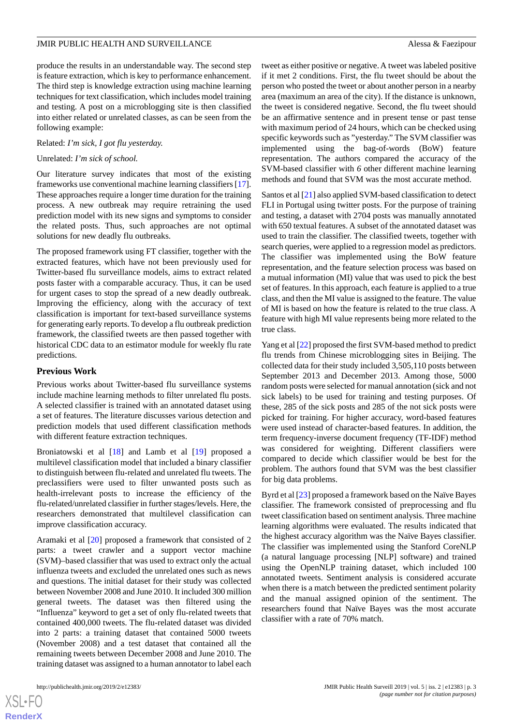produce the results in an understandable way. The second step is feature extraction, which is key to performance enhancement. The third step is knowledge extraction using machine learning techniques for text classification, which includes model training and testing. A post on a microblogging site is then classified into either related or unrelated classes, as can be seen from the following example:

#### Related: *I'm sick, I got flu yesterday.*

#### Unrelated: *I'm sick of school.*

Our literature survey indicates that most of the existing frameworks use conventional machine learning classifiers [[17\]](#page-14-9). These approaches require a longer time duration for the training process. A new outbreak may require retraining the used prediction model with its new signs and symptoms to consider the related posts. Thus, such approaches are not optimal solutions for new deadly flu outbreaks.

The proposed framework using FT classifier, together with the extracted features, which have not been previously used for Twitter-based flu surveillance models, aims to extract related posts faster with a comparable accuracy. Thus, it can be used for urgent cases to stop the spread of a new deadly outbreak. Improving the efficiency, along with the accuracy of text classification is important for text-based surveillance systems for generating early reports. To develop a flu outbreak prediction framework, the classified tweets are then passed together with historical CDC data to an estimator module for weekly flu rate predictions.

#### **Previous Work**

Previous works about Twitter-based flu surveillance systems include machine learning methods to filter unrelated flu posts. A selected classifier is trained with an annotated dataset using a set of features. The literature discusses various detection and prediction models that used different classification methods with different feature extraction techniques.

Broniatowski et al [\[18](#page-15-0)] and Lamb et al [\[19](#page-15-1)] proposed a multilevel classification model that included a binary classifier to distinguish between flu-related and unrelated flu tweets. The preclassifiers were used to filter unwanted posts such as health-irrelevant posts to increase the efficiency of the flu-related/unrelated classifier in further stages/levels. Here, the researchers demonstrated that multilevel classification can improve classification accuracy.

Aramaki et al [\[20](#page-15-2)] proposed a framework that consisted of 2 parts: a tweet crawler and a support vector machine (SVM)–based classifier that was used to extract only the actual influenza tweets and excluded the unrelated ones such as news and questions. The initial dataset for their study was collected between November 2008 and June 2010. It included 300 million general tweets. The dataset was then filtered using the "Influenza" keyword to get a set of only flu-related tweets that contained 400,000 tweets. The flu-related dataset was divided into 2 parts: a training dataset that contained 5000 tweets (November 2008) and a test dataset that contained all the remaining tweets between December 2008 and June 2010. The training dataset was assigned to a human annotator to label each

 $XS$ -FO **[RenderX](http://www.renderx.com/)** tweet as either positive or negative. A tweet was labeled positive if it met 2 conditions. First, the flu tweet should be about the person who posted the tweet or about another person in a nearby area (maximum an area of the city). If the distance is unknown, the tweet is considered negative. Second, the flu tweet should be an affirmative sentence and in present tense or past tense with maximum period of 24 hours, which can be checked using specific keywords such as "yesterday." The SVM classifier was implemented using the bag-of-words (BoW) feature representation. The authors compared the accuracy of the SVM-based classifier with *6* other different machine learning methods and found that SVM was the most accurate method.

Santos et al [\[21](#page-15-3)] also applied SVM-based classification to detect FLI in Portugal using twitter posts. For the purpose of training and testing, a dataset with 2704 posts was manually annotated with 650 textual features. A subset of the annotated dataset was used to train the classifier. The classified tweets, together with search queries, were applied to a regression model as predictors. The classifier was implemented using the BoW feature representation, and the feature selection process was based on a mutual information (MI) value that was used to pick the best set of features. In this approach, each feature is applied to a true class, and then the MI value is assigned to the feature. The value of MI is based on how the feature is related to the true class. A feature with high MI value represents being more related to the true class.

Yang et al [[22\]](#page-15-4) proposed the first SVM-based method to predict flu trends from Chinese microblogging sites in Beijing. The collected data for their study included 3,505,110 posts between September 2013 and December 2013. Among those, 5000 random posts were selected for manual annotation (sick and not sick labels) to be used for training and testing purposes. Of these, 285 of the sick posts and 285 of the not sick posts were picked for training. For higher accuracy, word-based features were used instead of character-based features. In addition, the term frequency-inverse document frequency (TF-IDF) method was considered for weighting. Different classifiers were compared to decide which classifier would be best for the problem. The authors found that SVM was the best classifier for big data problems.

Byrd et al [[23\]](#page-15-5) proposed a framework based on the Naïve Bayes classifier. The framework consisted of preprocessing and flu tweet classification based on sentiment analysis. Three machine learning algorithms were evaluated. The results indicated that the highest accuracy algorithm was the Naïve Bayes classifier. The classifier was implemented using the Stanford CoreNLP (a natural language processing [NLP] software) and trained using the OpenNLP training dataset, which included 100 annotated tweets. Sentiment analysis is considered accurate when there is a match between the predicted sentiment polarity and the manual assigned opinion of the sentiment. The researchers found that Naïve Bayes was the most accurate classifier with a rate of 70% match.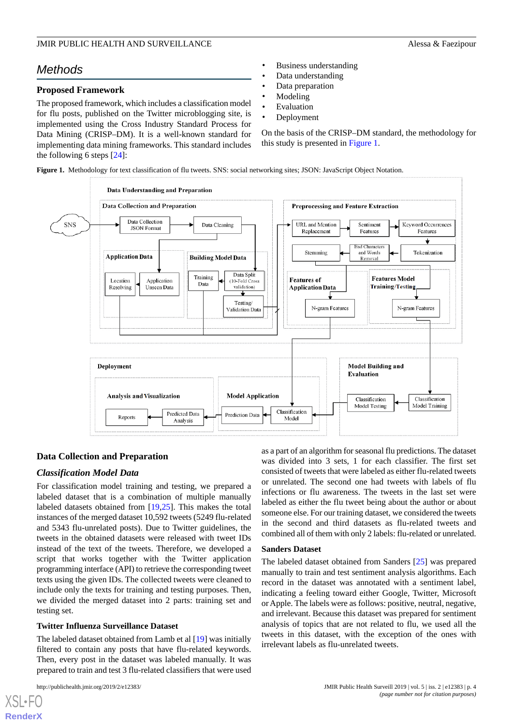# *Methods*

#### **Proposed Framework**

The proposed framework, which includes a classification model for flu posts, published on the Twitter microblogging site, is implemented using the Cross Industry Standard Process for Data Mining (CRISP–DM). It is a well-known standard for implementing data mining frameworks. This standard includes the following 6 steps [[24\]](#page-15-6):

- Business understanding
- Data understanding
- Data preparation
- **Modeling**
- **Evaluation**
- Deployment

On the basis of the CRISP–DM standard, the methodology for this study is presented in [Figure 1.](#page-3-0)

<span id="page-3-0"></span>**Figure 1.** Methodology for text classification of flu tweets. SNS: social networking sites; JSON: JavaScript Object Notation.



## **Data Collection and Preparation**

#### *Classification Model Data*

For classification model training and testing, we prepared a labeled dataset that is a combination of multiple manually labeled datasets obtained from [\[19](#page-15-1),[25\]](#page-15-7). This makes the total instances of the merged dataset 10,592 tweets (5249 flu-related and 5343 flu-unrelated posts). Due to Twitter guidelines, the tweets in the obtained datasets were released with tweet IDs instead of the text of the tweets. Therefore, we developed a script that works together with the Twitter application programming interface (API) to retrieve the corresponding tweet texts using the given IDs. The collected tweets were cleaned to include only the texts for training and testing purposes. Then, we divided the merged dataset into 2 parts: training set and testing set.

#### **Twitter Influenza Surveillance Dataset**

The labeled dataset obtained from Lamb et al [\[19](#page-15-1)] was initially filtered to contain any posts that have flu-related keywords. Then, every post in the dataset was labeled manually. It was prepared to train and test 3 flu-related classifiers that were used

 $XS$  • FOR **[RenderX](http://www.renderx.com/)** as a part of an algorithm for seasonal flu predictions. The dataset was divided into 3 sets, 1 for each classifier. The first set consisted of tweets that were labeled as either flu-related tweets or unrelated. The second one had tweets with labels of flu infections or flu awareness. The tweets in the last set were labeled as either the flu tweet being about the author or about someone else. For our training dataset, we considered the tweets in the second and third datasets as flu-related tweets and combined all of them with only 2 labels: flu-related or unrelated.

#### **Sanders Dataset**

The labeled dataset obtained from Sanders [[25\]](#page-15-7) was prepared manually to train and test sentiment analysis algorithms. Each record in the dataset was annotated with a sentiment label, indicating a feeling toward either Google, Twitter, Microsoft or Apple. The labels were as follows: positive, neutral, negative, and irrelevant. Because this dataset was prepared for sentiment analysis of topics that are not related to flu, we used all the tweets in this dataset, with the exception of the ones with irrelevant labels as flu-unrelated tweets.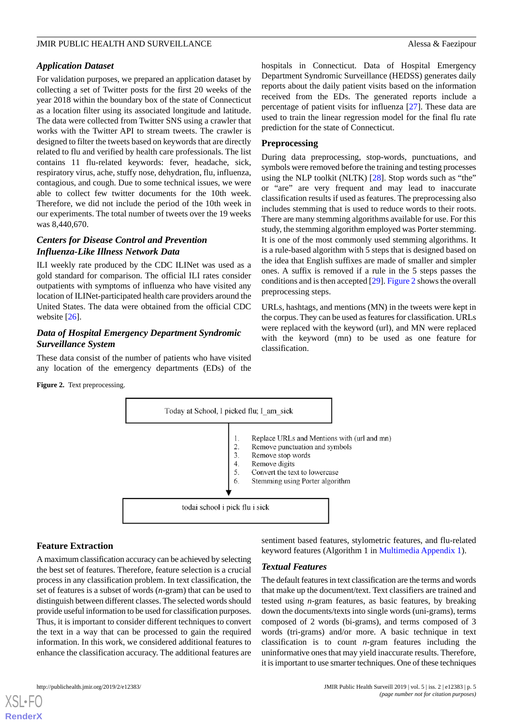#### *Application Dataset*

For validation purposes, we prepared an application dataset by collecting a set of Twitter posts for the first 20 weeks of the year 2018 within the boundary box of the state of Connecticut as a location filter using its associated longitude and latitude. The data were collected from Twitter SNS using a crawler that works with the Twitter API to stream tweets. The crawler is designed to filter the tweets based on keywords that are directly related to flu and verified by health care professionals. The list contains 11 flu-related keywords: fever, headache, sick, respiratory virus, ache, stuffy nose, dehydration, flu, influenza, contagious, and cough. Due to some technical issues, we were able to collect few twitter documents for the 10th week. Therefore, we did not include the period of the 10th week in our experiments. The total number of tweets over the 19 weeks was 8,440,670.

# *Centers for Disease Control and Prevention Influenza-Like Illness Network Data*

ILI weekly rate produced by the CDC ILINet was used as a gold standard for comparison. The official ILI rates consider outpatients with symptoms of influenza who have visited any location of ILINet-participated health care providers around the United States. The data were obtained from the official CDC website [[26\]](#page-15-8).

## *Data of Hospital Emergency Department Syndromic Surveillance System*

<span id="page-4-0"></span>These data consist of the number of patients who have visited any location of the emergency departments (EDs) of the hospitals in Connecticut. Data of Hospital Emergency Department Syndromic Surveillance (HEDSS) generates daily reports about the daily patient visits based on the information received from the EDs. The generated reports include a percentage of patient visits for influenza [[27\]](#page-15-9). These data are used to train the linear regression model for the final flu rate prediction for the state of Connecticut.

#### **Preprocessing**

During data preprocessing, stop-words, punctuations, and symbols were removed before the training and testing processes using the NLP toolkit (NLTK) [\[28](#page-15-10)]. Stop words such as "the" or "are" are very frequent and may lead to inaccurate classification results if used as features. The preprocessing also includes stemming that is used to reduce words to their roots. There are many stemming algorithms available for use. For this study, the stemming algorithm employed was Porter stemming. It is one of the most commonly used stemming algorithms. It is a rule-based algorithm with 5 steps that is designed based on the idea that English suffixes are made of smaller and simpler ones. A suffix is removed if a rule in the 5 steps passes the conditions and is then accepted [[29\]](#page-15-11). [Figure 2](#page-4-0) shows the overall preprocessing steps.

URLs, hashtags, and mentions (MN) in the tweets were kept in the corpus. They can be used as features for classification. URLs were replaced with the keyword (url), and MN were replaced with the keyword (mn) to be used as one feature for classification.



## **Feature Extraction**

**Figure 2.** Text preprocessing.

A maximum classification accuracy can be achieved by selecting the best set of features. Therefore, feature selection is a crucial process in any classification problem. In text classification, the set of features is a subset of words (*n*-gram) that can be used to distinguish between different classes. The selected words should provide useful information to be used for classification purposes. Thus, it is important to consider different techniques to convert the text in a way that can be processed to gain the required information. In this work, we considered additional features to enhance the classification accuracy. The additional features are

sentiment based features, stylometric features, and flu-related keyword features (Algorithm 1 in [Multimedia Appendix 1\)](#page-14-10).

#### *Textual Features*

The default features in text classification are the terms and words that make up the document/text. Text classifiers are trained and tested using *n*-gram features, as basic features, by breaking down the documents/texts into single words (uni-grams), terms composed of 2 words (bi-grams), and terms composed of 3 words (tri-grams) and/or more. A basic technique in text classification is to count *n*-gram features including the uninformative ones that may yield inaccurate results. Therefore, it is important to use smarter techniques. One of these techniques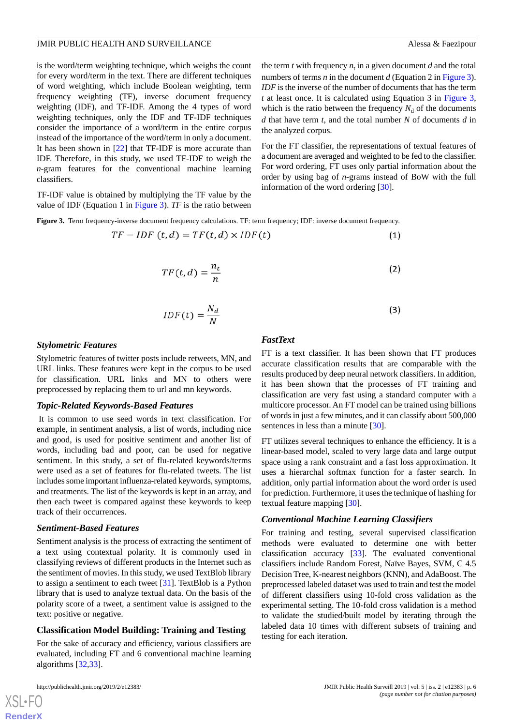is the word/term weighting technique, which weighs the count for every word/term in the text. There are different techniques of word weighting, which include Boolean weighting, term frequency weighting (TF), inverse document frequency weighting (IDF), and TF-IDF. Among the 4 types of word weighting techniques, only the IDF and TF-IDF techniques consider the importance of a word/term in the entire corpus instead of the importance of the word/term in only a document. It has been shown in [\[22](#page-15-4)] that TF-IDF is more accurate than IDF. Therefore, in this study, we used TF-IDF to weigh the *n*-gram features for the conventional machine learning classifiers.

<span id="page-5-0"></span>TF-IDF value is obtained by multiplying the TF value by the value of IDF (Equation 1 in [Figure 3](#page-5-0)). *TF* is the ratio between

**Figure 3.** Term frequency-inverse document frequency calculations. TF: term frequency; IDF: inverse document frequency.

$$
TF - IDF(t, d) = TF(t, d) \times IDF(t)
$$
\n(1)

$$
TF(t,d) = \frac{n_t}{n} \tag{2}
$$

the analyzed corpus.

information of the word ordering [[30\]](#page-15-12).

$$
IDF(t) = \frac{N_d}{N}
$$
 (3)

#### *Stylometric Features*

Stylometric features of twitter posts include retweets, MN, and URL links. These features were kept in the corpus to be used for classification. URL links and MN to others were preprocessed by replacing them to url and mn keywords.

#### *Topic-Related Keywords-Based Features*

It is common to use seed words in text classification. For example, in sentiment analysis, a list of words, including nice and good, is used for positive sentiment and another list of words, including bad and poor, can be used for negative sentiment. In this study, a set of flu-related keywords/terms were used as a set of features for flu-related tweets. The list includes some important influenza-related keywords, symptoms, and treatments. The list of the keywords is kept in an array, and then each tweet is compared against these keywords to keep track of their occurrences.

#### *Sentiment-Based Features*

Sentiment analysis is the process of extracting the sentiment of a text using contextual polarity. It is commonly used in classifying reviews of different products in the Internet such as the sentiment of movies. In this study, we used TextBlob library to assign a sentiment to each tweet [[31\]](#page-15-13). TextBlob is a Python library that is used to analyze textual data. On the basis of the polarity score of a tweet, a sentiment value is assigned to the text: positive or negative.

#### **Classification Model Building: Training and Testing**

For the sake of accuracy and efficiency, various classifiers are evaluated, including FT and 6 conventional machine learning algorithms [\[32](#page-15-14),[33\]](#page-15-15).

#### *FastText*

FT is a text classifier. It has been shown that FT produces accurate classification results that are comparable with the results produced by deep neural network classifiers. In addition, it has been shown that the processes of FT training and classification are very fast using a standard computer with a multicore processor. An FT model can be trained using billions of words in just a few minutes, and it can classify about 500,000 sentences in less than a minute [\[30](#page-15-12)].

the term  $t$  with frequency  $n_t$  in a given document  $d$  and the total numbers of terms *n* in the document *d* (Equation 2 in [Figure 3\)](#page-5-0). *IDF* is the inverse of the number of documents that has the term *t* at least once. It is calculated using Equation 3 in [Figure 3](#page-5-0), which is the ratio between the frequency  $N_d$  of the documents *d* that have term *t*, and the total number *N* of documents *d* in

For the FT classifier, the representations of textual features of a document are averaged and weighted to be fed to the classifier. For word ordering, FT uses only partial information about the order by using bag of *n*-grams instead of BoW with the full

FT utilizes several techniques to enhance the efficiency. It is a linear-based model, scaled to very large data and large output space using a rank constraint and a fast loss approximation. It uses a hierarchal softmax function for a faster search. In addition, only partial information about the word order is used for prediction. Furthermore, it uses the technique of hashing for textual feature mapping [\[30](#page-15-12)].

#### *Conventional Machine Learning Classifiers*

For training and testing, several supervised classification methods were evaluated to determine one with better classification accuracy [[33](#page-15-15)]. The evaluated conventional classifiers include Random Forest, Naïve Bayes, SVM, C 4.5 Decision Tree, K-nearest neighbors (KNN), and AdaBoost. The preprocessed labeled dataset was used to train and test the model of different classifiers using 10-fold cross validation as the experimental setting. The 10-fold cross validation is a method to validate the studied/built model by iterating through the labeled data 10 times with different subsets of training and testing for each iteration.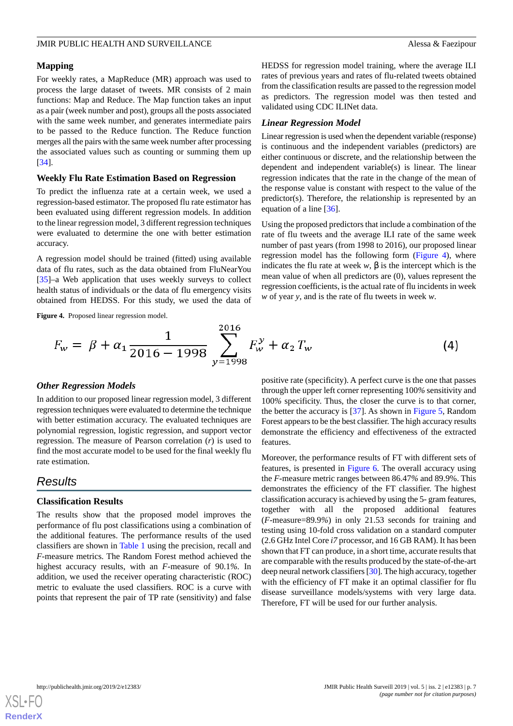#### **Mapping**

For weekly rates, a MapReduce (MR) approach was used to process the large dataset of tweets. MR consists of 2 main functions: Map and Reduce. The Map function takes an input as a pair (week number and post), groups all the posts associated with the same week number, and generates intermediate pairs to be passed to the Reduce function. The Reduce function merges all the pairs with the same week number after processing the associated values such as counting or summing them up [[34\]](#page-15-16).

#### **Weekly Flu Rate Estimation Based on Regression**

To predict the influenza rate at a certain week, we used a regression-based estimator. The proposed flu rate estimator has been evaluated using different regression models. In addition to the linear regression model, 3 different regression techniques were evaluated to determine the one with better estimation accuracy.

<span id="page-6-0"></span>A regression model should be trained (fitted) using available data of flu rates, such as the data obtained from FluNearYou [[35\]](#page-15-17)–a Web application that uses weekly surveys to collect health status of individuals or the data of flu emergency visits obtained from HEDSS. For this study, we used the data of HEDSS for regression model training, where the average ILI rates of previous years and rates of flu-related tweets obtained from the classification results are passed to the regression model as predictors. The regression model was then tested and validated using CDC ILINet data.

#### *Linear Regression Model*

Linear regression is used when the dependent variable (response) is continuous and the independent variables (predictors) are either continuous or discrete, and the relationship between the dependent and independent variable(s) is linear. The linear regression indicates that the rate in the change of the mean of the response value is constant with respect to the value of the predictor(s). Therefore, the relationship is represented by an equation of a line [\[36](#page-15-18)].

Using the proposed predictors that include a combination of the rate of flu tweets and the average ILI rate of the same week number of past years (from 1998 to 2016), our proposed linear regression model has the following form ([Figure 4](#page-6-0)), where indicates the flu rate at week  $w$ ,  $\beta$  is the intercept which is the mean value of when all predictors are (0), values represent the regression coefficients, is the actual rate of flu incidents in week *w* of year *y*, and is the rate of flu tweets in week *w*.

**Figure 4.** Proposed linear regression model.

$$
F_w = \beta + \alpha_1 \frac{1}{2016 - 1998} \sum_{y=1998}^{2016} F_w^y + \alpha_2 T_w \tag{4}
$$

#### *Other Regression Models*

In addition to our proposed linear regression model, 3 different regression techniques were evaluated to determine the technique with better estimation accuracy. The evaluated techniques are polynomial regression, logistic regression, and support vector regression. The measure of Pearson correlation (*r*) is used to find the most accurate model to be used for the final weekly flu rate estimation.

# *Results*

#### **Classification Results**

The results show that the proposed model improves the performance of flu post classifications using a combination of the additional features. The performance results of the used classifiers are shown in [Table 1](#page-7-0) using the precision, recall and *F*-measure metrics. The Random Forest method achieved the highest accuracy results, with an *F*-measure of 90.1*%.* In addition, we used the receiver operating characteristic (ROC) metric to evaluate the used classifiers. ROC is a curve with points that represent the pair of TP rate (sensitivity) and false

positive rate (specificity). A perfect curve is the one that passes through the upper left corner representing 100*%* sensitivity and 100*%* specificity. Thus, the closer the curve is to that corner, the better the accuracy is [\[37](#page-15-19)]. As shown in [Figure 5,](#page-7-1) Random Forest appears to be the best classifier. The high accuracy results demonstrate the efficiency and effectiveness of the extracted features.

Moreover, the performance results of FT with different sets of features, is presented in [Figure 6.](#page-8-0) The overall accuracy using the *F*-measure metric ranges between 86.47*%* and 89.9%. This demonstrates the efficiency of the FT classifier. The highest classification accuracy is achieved by using the 5*-* gram features, together with all the proposed additional features (*F*-measure=89.9*%*) in only 21.53 seconds for training and testing using 10-fold cross validation on a standard computer (2.6 GHz Intel Core *i7* processor, and 16 GB RAM). It has been shown that FT can produce, in a short time, accurate results that are comparable with the results produced by the state-of-the-art deep neural network classifiers [\[30](#page-15-12)]. The high accuracy, together with the efficiency of FT make it an optimal classifier for flu disease surveillance models/systems with very large data. Therefore, FT will be used for our further analysis.

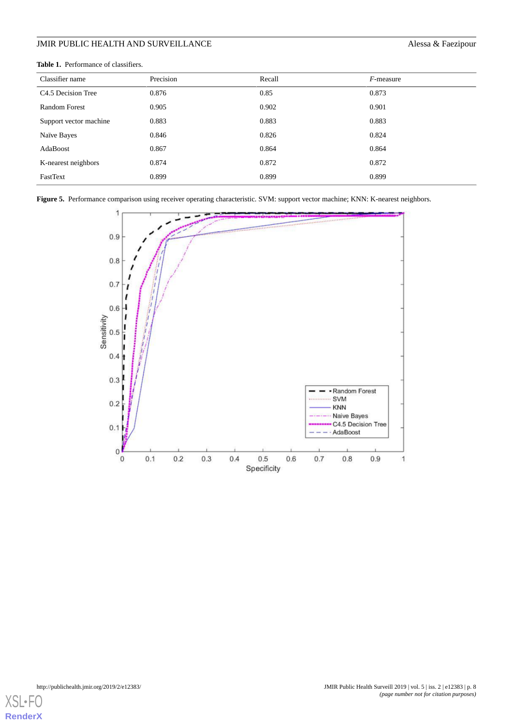<span id="page-7-0"></span>

| <b>Table 1.</b> Performance of classifiers. |
|---------------------------------------------|
|                                             |

| Classifier name                | Precision | Recall | $F$ -measure |
|--------------------------------|-----------|--------|--------------|
| C <sub>4.5</sub> Decision Tree | 0.876     | 0.85   | 0.873        |
| Random Forest                  | 0.905     | 0.902  | 0.901        |
| Support vector machine         | 0.883     | 0.883  | 0.883        |
| Naïve Bayes                    | 0.846     | 0.826  | 0.824        |
| AdaBoost                       | 0.867     | 0.864  | 0.864        |
| K-nearest neighbors            | 0.874     | 0.872  | 0.872        |
| FastText                       | 0.899     | 0.899  | 0.899        |

<span id="page-7-1"></span>**Figure 5.** Performance comparison using receiver operating characteristic. SVM: support vector machine; KNN: K-nearest neighbors.



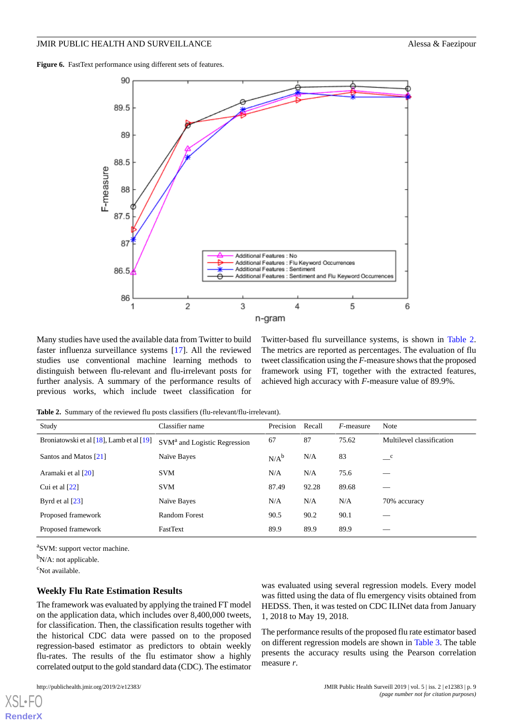<span id="page-8-0"></span>Figure 6. FastText performance using different sets of features.



<span id="page-8-1"></span>Many studies have used the available data from Twitter to build faster influenza surveillance systems [\[17](#page-14-9)]. All the reviewed studies use conventional machine learning methods to distinguish between flu-relevant and flu-irrelevant posts for further analysis. A summary of the performance results of previous works, which include tweet classification for Twitter-based flu surveillance systems, is shown in [Table 2](#page-8-1). The metrics are reported as percentages. The evaluation of flu tweet classification using the *F*-measure shows that the proposed framework using FT, together with the extracted features, achieved high accuracy with *F*-measure value of 89.9%.

**Table 2.** Summary of the reviewed flu posts classifiers (flu-relevant/flu-irrelevant).

| Study                                    | Classifier name                          | Precision | Recall | $F$ -measure | <b>Note</b>               |
|------------------------------------------|------------------------------------------|-----------|--------|--------------|---------------------------|
| Broniatowski et al [18], Lamb et al [19] | SVM <sup>a</sup> and Logistic Regression | 67        | 87     | 75.62        | Multilevel classification |
| Santos and Matos [21]                    | Naïve Bayes                              | $N/A^b$   | N/A    | 83           | $\mathbf{C}$              |
| Aramaki et al [20]                       | <b>SVM</b>                               | N/A       | N/A    | 75.6         |                           |
| Cui et al $[22]$                         | <b>SVM</b>                               | 87.49     | 92.28  | 89.68        |                           |
| Byrd et al $[23]$                        | Naïve Bayes                              | N/A       | N/A    | N/A          | 70% accuracy              |
| Proposed framework                       | Random Forest                            | 90.5      | 90.2   | 90.1         |                           |
| Proposed framework                       | FastText                                 | 89.9      | 89.9   | 89.9         | _                         |

<sup>a</sup>SVM: support vector machine.

 $b_{N/A}$ : not applicable.

<sup>c</sup>Not available.

[XSL](http://www.w3.org/Style/XSL)•FO **[RenderX](http://www.renderx.com/)**

#### **Weekly Flu Rate Estimation Results**

The framework was evaluated by applying the trained FT model on the application data, which includes over 8,400,000 tweets, for classification. Then, the classification results together with the historical CDC data were passed on to the proposed regression-based estimator as predictors to obtain weekly flu-rates. The results of the flu estimator show a highly correlated output to the gold standard data (CDC). The estimator was evaluated using several regression models. Every model was fitted using the data of flu emergency visits obtained from HEDSS. Then, it was tested on CDC ILINet data from January 1, 2018 to May 19, 2018.

The performance results of the proposed flu rate estimator based on different regression models are shown in [Table 3](#page-9-0). The table presents the accuracy results using the Pearson correlation measure *r*.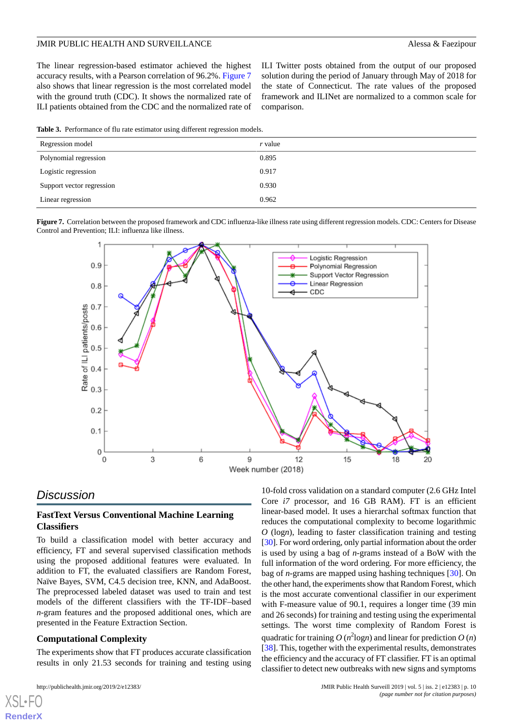The linear regression-based estimator achieved the highest accuracy results, with a Pearson correlation of 96.2%. [Figure 7](#page-9-1) also shows that linear regression is the most correlated model with the ground truth (CDC). It shows the normalized rate of ILI patients obtained from the CDC and the normalized rate of

ILI Twitter posts obtained from the output of our proposed solution during the period of January through May of 2018 for the state of Connecticut. The rate values of the proposed framework and ILINet are normalized to a common scale for comparison.

<span id="page-9-0"></span>**Table 3.** Performance of flu rate estimator using different regression models.

| Regression model          | r value |
|---------------------------|---------|
| Polynomial regression     | 0.895   |
| Logistic regression       | 0.917   |
| Support vector regression | 0.930   |
| Linear regression         | 0.962   |

<span id="page-9-1"></span>



# *Discussion*

#### **FastText Versus Conventional Machine Learning Classifiers**

To build a classification model with better accuracy and efficiency, FT and several supervised classification methods using the proposed additional features were evaluated. In addition to FT, the evaluated classifiers are Random Forest, Naïve Bayes, SVM, C4.5 decision tree, KNN, and AdaBoost. The preprocessed labeled dataset was used to train and test models of the different classifiers with the TF-IDF–based *n*-gram features and the proposed additional ones, which are presented in the Feature Extraction Section.

#### **Computational Complexity**

The experiments show that FT produces accurate classification results in only 21.53 seconds for training and testing using

[XSL](http://www.w3.org/Style/XSL)•FO **[RenderX](http://www.renderx.com/)**

10-fold cross validation on a standard computer (2.6 GHz Intel Core *i*7 processor, and 16 GB RAM). FT is an efficient linear-based model. It uses a hierarchal softmax function that reduces the computational complexity to become logarithmic *O* (log*n*), leading to faster classification training and testing [[30\]](#page-15-12). For word ordering, only partial information about the order is used by using a bag of *n*-grams instead of a BoW with the full information of the word ordering. For more efficiency, the bag of *n*-grams are mapped using hashing techniques [\[30](#page-15-12)]. On the other hand, the experiments show that Random Forest, which is the most accurate conventional classifier in our experiment with F-measure value of 90.1, requires a longer time (39 min and 26 seconds) for training and testing using the experimental settings. The worst time complexity of Random Forest is quadratic for training  $O(n^2 \log n)$  and linear for prediction  $O(n)$ [[38\]](#page-15-20). This, together with the experimental results, demonstrates the efficiency and the accuracy of FT classifier. FT is an optimal classifier to detect new outbreaks with new signs and symptoms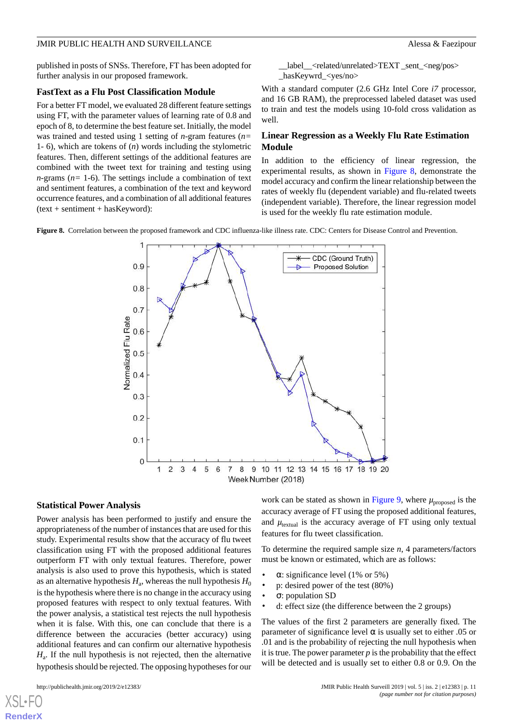published in posts of SNSs. Therefore, FT has been adopted for further analysis in our proposed framework.

#### **FastText as a Flu Post Classification Module**

For a better FT model, we evaluated 28 different feature settings using FT, with the parameter values of learning rate of 0.8 and epoch of 8, to determine the best feature set. Initially, the model was trained and tested using 1 setting of *n*-gram features (*n=* 1*-* 6), which are tokens of (*n*) words including the stylometric features. Then, different settings of the additional features are combined with the tweet text for training and testing using *n*-grams ( $n=1-6$ ). The settings include a combination of text and sentiment features, a combination of the text and keyword occurrence features, and a combination of all additional features (text + sentiment + hasKeyword):

\_\_label\_\_<related/unrelated>TEXT \_sent\_<neg/pos> \_hasKeywrd\_<yes/no>

With a standard computer (2.6 GHz Intel Core *i7* processor, and 16 GB RAM), the preprocessed labeled dataset was used to train and test the models using 10-fold cross validation as well.

## **Linear Regression as a Weekly Flu Rate Estimation Module**

In addition to the efficiency of linear regression, the experimental results, as shown in [Figure 8](#page-10-0), demonstrate the model accuracy and confirm the linear relationship between the rates of weekly flu (dependent variable) and flu-related tweets (independent variable). Therefore, the linear regression model is used for the weekly flu rate estimation module.

<span id="page-10-0"></span>**Figure 8.** Correlation between the proposed framework and CDC influenza-like illness rate. CDC: Centers for Disease Control and Prevention.

JMIR PUBLIC HEALTH AND SURVEILLANCE **Alessa & Faezipour** 



### **Statistical Power Analysis**

Power analysis has been performed to justify and ensure the appropriateness of the number of instances that are used for this study. Experimental results show that the accuracy of flu tweet classification using FT with the proposed additional features outperform FT with only textual features. Therefore, power analysis is also used to prove this hypothesis, which is stated as an alternative hypothesis  $H_{\rm a}$ , whereas the null hypothesis  $H_{\rm 0}$ is the hypothesis where there is no change in the accuracy using proposed features with respect to only textual features. With the power analysis, a statistical test rejects the null hypothesis when it is false. With this, one can conclude that there is a difference between the accuracies (better accuracy) using additional features and can confirm our alternative hypothesis *H*a . If the null hypothesis is not rejected, then the alternative hypothesis should be rejected. The opposing hypotheses for our

[XSL](http://www.w3.org/Style/XSL)•FO **[RenderX](http://www.renderx.com/)**

work can be stated as shown in [Figure 9,](#page-11-0) where  $\mu_{\text{proposed}}$  is the accuracy average of FT using the proposed additional features, and  $\mu_{\text{textual}}$  is the accuracy average of FT using only textual features for flu tweet classification.

To determine the required sample size *n*, 4 parameters/factors must be known or estimated, which are as follows:

- $\alpha$ : significance level (1% or 5%)
- p: desired power of the test (80%)
- σ: population SD
- d: effect size (the difference between the 2 groups)

The values of the first 2 parameters are generally fixed. The parameter of significance level  $\alpha$  is usually set to either .05 or .01 and is the probability of rejecting the null hypothesis when it is true. The power parameter  $p$  is the probability that the effect will be detected and is usually set to either 0.8 or 0.9. On the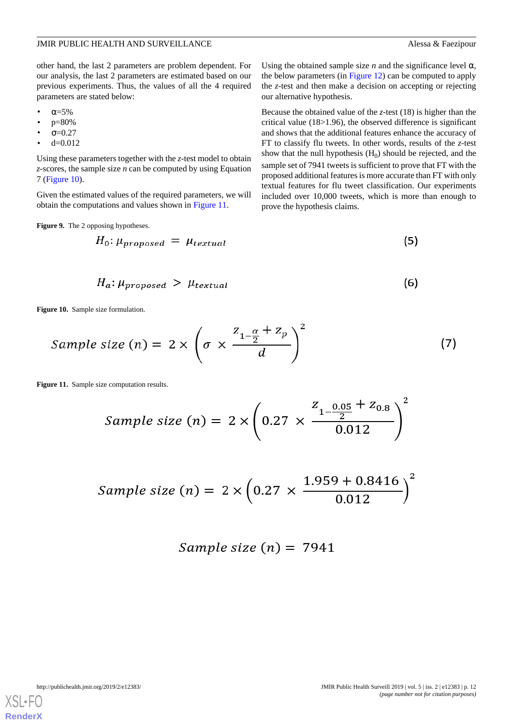other hand, the last 2 parameters are problem dependent. For our analysis, the last 2 parameters are estimated based on our previous experiments. Thus, the values of all the 4 required parameters are stated below:

- $α=5%$
- p=80%
- $σ=0.27$
- $d=0.012$

Using these parameters together with the *z*-test model to obtain *z*-scores, the sample size *n* can be computed by using Equation 7 [\(Figure 10\)](#page-11-1).

<span id="page-11-0"></span>Given the estimated values of the required parameters, we will obtain the computations and values shown in [Figure 11](#page-11-2).

**Figure 9.** The 2 opposing hypotheses.

$$
H_0: \mu_{proposed} = \mu_{textual} \tag{5}
$$

$$
H_a: \mu_{proposed} > \mu_{textual} \tag{6}
$$

<span id="page-11-1"></span>**Figure 10.** Sample size formulation.

<span id="page-11-2"></span>Sample size (n) = 
$$
2 \times \left(\sigma \times \frac{z_{1-\frac{\alpha}{2}} + z_p}{d}\right)^2
$$
 (7)

**Figure 11.** Sample size computation results.

Sample size (n) = 
$$
2 \times \left(0.27 \times \frac{Z_{1-\frac{0.05}{2}} + Z_{0.8}}{0.012}\right)^2
$$

Sample size (n) = 
$$
2 \times (0.27 \times \frac{1.959 + 0.8416}{0.012})^2
$$

$$
Sample\ size\ (n) =\ 7941
$$



Using the obtained sample size  $n$  and the significance level  $\alpha$ ,

critical value (18>1.96), the observed difference is significant and shows that the additional features enhance the accuracy of FT to classify flu tweets. In other words, results of the *z*-test show that the null hypothesis  $(H_0)$  should be rejected, and the sample set of 7941 tweets is sufficient to prove that FT with the proposed additional features is more accurate than FT with only textual features for flu tweet classification. Our experiments included over 10,000 tweets, which is more than enough to prove the hypothesis claims.

http://publichealth.jmir.org/2019/2/e12383/ JMIR Public Health Surveill 2019 | vol. 5 | iss. 2 | e12383 | p. 12 *(page number not for citation purposes)*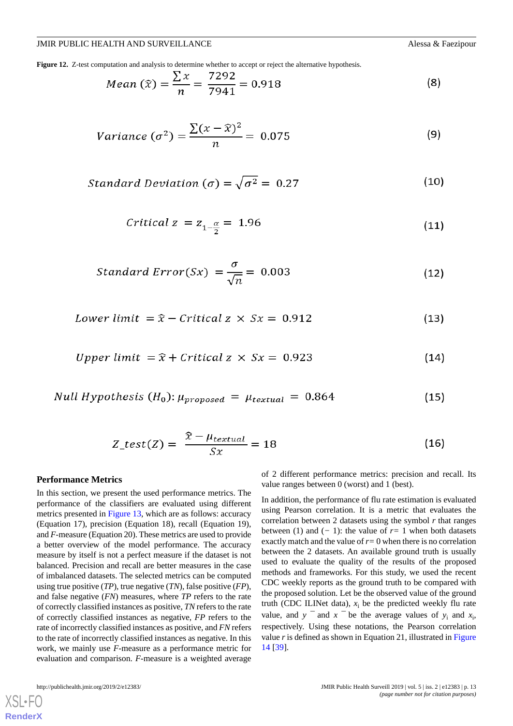<span id="page-12-0"></span>**Figure 12.** Z-test computation and analysis to determine whether to accept or reject the alternative hypothesis.

Mean 
$$
(\hat{x}) = \frac{\sum x}{n} = \frac{7292}{7941} = 0.918
$$
 (8)

Variance 
$$
(\sigma^2) = \frac{\sum (x - \hat{x})^2}{n} = 0.075
$$
 (9)

Standard Deviation (
$$
\sigma
$$
) =  $\sqrt{\sigma^2}$  = 0.27 (10)

$$
Critical\ z = z_{1-\frac{\alpha}{2}} = 1.96\tag{11}
$$

Standard Error(Sx) = 
$$
\frac{\sigma}{\sqrt{n}}
$$
 = 0.003 (12)

$$
Lower limit = \hat{x} - Critical \times Sx = 0.912 \tag{13}
$$

*Upper limit* = 
$$
\hat{x}
$$
 + *Critical* z  $\times$  Sx = 0.923 (14)

$$
Null Hypothesis (H0): \mu_{proposed} = \mu_{textual} = 0.864 \tag{15}
$$

$$
Z_{\text{test}}(Z) = \frac{\hat{x} - \mu_{textual}}{Sx} = 18 \tag{16}
$$

#### **Performance Metrics**

In this section, we present the used performance metrics. The performance of the classifiers are evaluated using different metrics presented in [Figure 13,](#page-13-0) which are as follows: accuracy (Equation 17), precision (Equation 18), recall (Equation 19), and *F*-measure (Equation 20). These metrics are used to provide a better overview of the model performance. The accuracy measure by itself is not a perfect measure if the dataset is not balanced. Precision and recall are better measures in the case of imbalanced datasets. The selected metrics can be computed using true positive (*TP*), true negative (*TN*), false positive (*FP*), and false negative (*FN*) measures, where *TP* refers to the rate of correctly classified instances as positive, *TN* refers to the rate of correctly classified instances as negative, *FP* refers to the rate of incorrectly classified instances as positive, and *FN* refers to the rate of incorrectly classified instances as negative. In this work, we mainly use *F*-measure as a performance metric for evaluation and comparison. *F*-measure is a weighted average

of 2 different performance metrics: precision and recall. Its value ranges between 0 (worst) and 1 (best).

In addition, the performance of flu rate estimation is evaluated using Pearson correlation. It is a metric that evaluates the correlation between 2 datasets using the symbol *r* that ranges between (1) and (*−* 1): the value of *r=* 1 when both datasets exactly match and the value of  $r=0$  when there is no correlation between the 2 datasets. An available ground truth is usually used to evaluate the quality of the results of the proposed methods and frameworks. For this study, we used the recent CDC weekly reports as the ground truth to be compared with the proposed solution. Let be the observed value of the ground truth (CDC ILINet data),  $x_i$  be the predicted weekly flu rate value, and  $y =$  and  $x =$  be the average values of  $y_i$  and  $x_i$ , respectively. Using these notations, the Pearson correlation value  $r$  is defined as shown in Equation 21, illustrated in [Figure](#page-13-1) [14](#page-13-1) [[39\]](#page-15-21).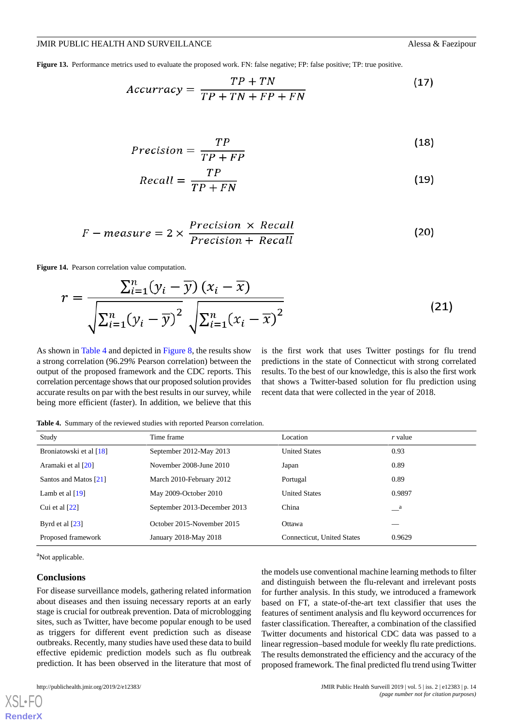<span id="page-13-0"></span>**Figure 13.** Performance metrics used to evaluate the proposed work. FN: false negative; FP: false positive; TP: true positive.

$$
Accuracy = \frac{TP + TN}{TP + TN + FP + FN}
$$
 (17)

$$
Precision = \frac{TP}{TP + FP}
$$
\n(18)

$$
Recall = \frac{TP}{TP + FN} \tag{19}
$$

$$
F-measure = 2 \times \frac{Precision \times Recall}{Precision + Recall}
$$
 (20)

<span id="page-13-1"></span>**Figure 14.** Pearson correlation value computation.

$$
r = \frac{\sum_{i=1}^{n} (y_i - \overline{y}) (x_i - \overline{x})}{\sqrt{\sum_{i=1}^{n} (y_i - \overline{y})^2} \sqrt{\sum_{i=1}^{n} (x_i - \overline{x})^2}}
$$
(21)

<span id="page-13-2"></span>As shown in [Table 4](#page-13-2) and depicted in [Figure 8,](#page-10-0) the results show a strong correlation (96.29*%* Pearson correlation) between the output of the proposed framework and the CDC reports. This correlation percentage shows that our proposed solution provides accurate results on par with the best results in our survey, while being more efficient (faster). In addition, we believe that this

is the first work that uses Twitter postings for flu trend predictions in the state of Connecticut with strong correlated results. To the best of our knowledge, this is also the first work that shows a Twitter-based solution for flu prediction using recent data that were collected in the year of 2018.

**Table 4.** Summary of the reviewed studies with reported Pearson correlation.

| Study                   | Time frame                   | Location                   | $r$ value    |
|-------------------------|------------------------------|----------------------------|--------------|
| Broniatowski et al [18] | September 2012-May 2013      | <b>United States</b>       | 0.93         |
| Aramaki et al [20]      | November 2008-June 2010      | Japan                      | 0.89         |
| Santos and Matos [21]   | March 2010-February 2012     | Portugal                   | 0.89         |
| Lamb et al $[19]$       | May 2009-October 2010        | <b>United States</b>       | 0.9897       |
| Cui et al $[22]$        | September 2013-December 2013 | China                      | $\mathbf{a}$ |
| Byrd et al $[23]$       | October 2015-November 2015   | Ottawa                     |              |
| Proposed framework      | January 2018-May 2018        | Connecticut, United States | 0.9629       |

<sup>a</sup>Not applicable.

#### **Conclusions**

[XSL](http://www.w3.org/Style/XSL)•FO **[RenderX](http://www.renderx.com/)**

For disease surveillance models, gathering related information about diseases and then issuing necessary reports at an early stage is crucial for outbreak prevention. Data of microblogging sites, such as Twitter, have become popular enough to be used as triggers for different event prediction such as disease outbreaks. Recently, many studies have used these data to build effective epidemic prediction models such as flu outbreak prediction. It has been observed in the literature that most of

the models use conventional machine learning methods to filter and distinguish between the flu-relevant and irrelevant posts for further analysis. In this study, we introduced a framework based on FT, a state-of-the-art text classifier that uses the features of sentiment analysis and flu keyword occurrences for faster classification. Thereafter, a combination of the classified Twitter documents and historical CDC data was passed to a linear regression–based module for weekly flu rate predictions. The results demonstrated the efficiency and the accuracy of the proposed framework. The final predicted flu trend using Twitter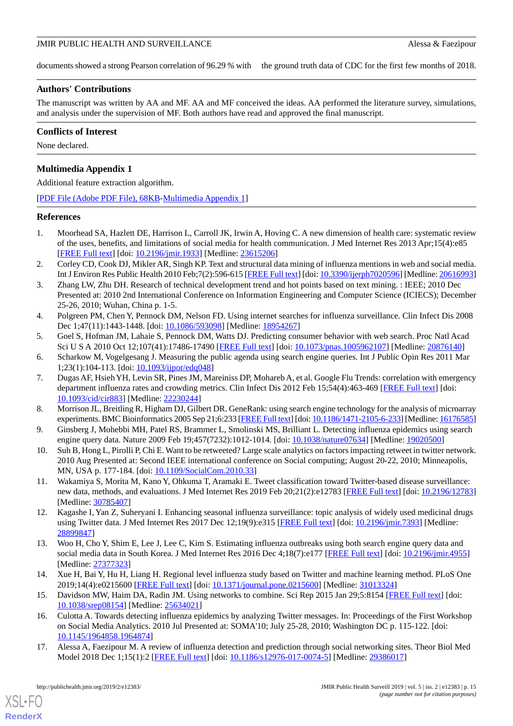documents showed a strong Pearson correlation of 96.29 % with the ground truth data of CDC for the first few months of 2018.

# **Authors' Contributions**

The manuscript was written by AA and MF. AA and MF conceived the ideas. AA performed the literature survey, simulations, and analysis under the supervision of MF. Both authors have read and approved the final manuscript.

## **Conflicts of Interest**

<span id="page-14-10"></span>None declared.

# **Multimedia Appendix 1**

Additional feature extraction algorithm.

[[PDF File \(Adobe PDF File\), 68KB-Multimedia Appendix 1\]](https://jmir.org/api/download?alt_name=publichealth_v5i2e12383_app1.pdf&filename=a2536f210a586b924b042f780b5ecac0.pdf)

## <span id="page-14-0"></span>**References**

- <span id="page-14-1"></span>1. Moorhead SA, Hazlett DE, Harrison L, Carroll JK, Irwin A, Hoving C. A new dimension of health care: systematic review of the uses, benefits, and limitations of social media for health communication. J Med Internet Res 2013 Apr;15(4):e85 [[FREE Full text](http://www.jmir.org/2013/4/e85/)] [doi: [10.2196/jmir.1933](http://dx.doi.org/10.2196/jmir.1933)] [Medline: [23615206](http://www.ncbi.nlm.nih.gov/entrez/query.fcgi?cmd=Retrieve&db=PubMed&list_uids=23615206&dopt=Abstract)]
- <span id="page-14-2"></span>2. Corley CD, Cook DJ, Mikler AR, Singh KP. Text and structural data mining of influenza mentions in web and social media. Int J Environ Res Public Health 2010 Feb;7(2):596-615 [\[FREE Full text\]](http://www.mdpi.com/1660-4601/7/2/596) [doi: [10.3390/ijerph7020596\]](http://dx.doi.org/10.3390/ijerph7020596) [Medline: [20616993\]](http://www.ncbi.nlm.nih.gov/entrez/query.fcgi?cmd=Retrieve&db=PubMed&list_uids=20616993&dopt=Abstract)
- <span id="page-14-3"></span>3. Zhang LW, Zhu DH. Research of technical development trend and hot points based on text mining. : IEEE; 2010 Dec Presented at: 2010 2nd International Conference on Information Engineering and Computer Science (ICIECS); December 25-26, 2010; Wuhan, China p. 1-5.
- 4. Polgreen PM, Chen Y, Pennock DM, Nelson FD. Using internet searches for influenza surveillance. Clin Infect Dis 2008 Dec 1;47(11):1443-1448. [doi: [10.1086/593098](http://dx.doi.org/10.1086/593098)] [Medline: [18954267](http://www.ncbi.nlm.nih.gov/entrez/query.fcgi?cmd=Retrieve&db=PubMed&list_uids=18954267&dopt=Abstract)]
- 5. Goel S, Hofman JM, Lahaie S, Pennock DM, Watts DJ. Predicting consumer behavior with web search. Proc Natl Acad Sci U S A 2010 Oct 12;107(41):17486-17490 [[FREE Full text\]](http://www.pnas.org/cgi/pmidlookup?view=long&pmid=20876140) [doi: [10.1073/pnas.1005962107](http://dx.doi.org/10.1073/pnas.1005962107)] [Medline: [20876140](http://www.ncbi.nlm.nih.gov/entrez/query.fcgi?cmd=Retrieve&db=PubMed&list_uids=20876140&dopt=Abstract)]
- 6. Scharkow M, Vogelgesang J. Measuring the public agenda using search engine queries. Int J Public Opin Res 2011 Mar 1;23(1):104-113. [doi: [10.1093/ijpor/edq048\]](http://dx.doi.org/10.1093/ijpor/edq048)
- <span id="page-14-4"></span>7. Dugas AF, Hsieh YH, Levin SR, Pines JM, Mareiniss DP, Mohareb A, et al. Google Flu Trends: correlation with emergency department influenza rates and crowding metrics. Clin Infect Dis 2012 Feb 15;54(4):463-469 [[FREE Full text](http://europepmc.org/abstract/MED/22230244)] [doi: [10.1093/cid/cir883](http://dx.doi.org/10.1093/cid/cir883)] [Medline: [22230244](http://www.ncbi.nlm.nih.gov/entrez/query.fcgi?cmd=Retrieve&db=PubMed&list_uids=22230244&dopt=Abstract)]
- <span id="page-14-5"></span>8. Morrison JL, Breitling R, Higham DJ, Gilbert DR. GeneRank: using search engine technology for the analysis of microarray experiments. BMC Bioinformatics 2005 Sep 21;6:233 [[FREE Full text](https://bmcbioinformatics.biomedcentral.com/articles/10.1186/1471-2105-6-233)] [doi: [10.1186/1471-2105-6-233](http://dx.doi.org/10.1186/1471-2105-6-233)] [Medline: [16176585\]](http://www.ncbi.nlm.nih.gov/entrez/query.fcgi?cmd=Retrieve&db=PubMed&list_uids=16176585&dopt=Abstract)
- 9. Ginsberg J, Mohebbi MH, Patel RS, Brammer L, Smolinski MS, Brilliant L. Detecting influenza epidemics using search engine query data. Nature 2009 Feb 19;457(7232):1012-1014. [doi: [10.1038/nature07634](http://dx.doi.org/10.1038/nature07634)] [Medline: [19020500](http://www.ncbi.nlm.nih.gov/entrez/query.fcgi?cmd=Retrieve&db=PubMed&list_uids=19020500&dopt=Abstract)]
- 10. Suh B, Hong L, Pirolli P, Chi E. Want to be retweeted? Large scale analytics on factors impacting retweet in twitter network. 2010 Aug Presented at: Second IEEE international conference on Social computing; August 20-22, 2010; Minneapolis, MN, USA p. 177-184. [doi: [10.1109/SocialCom.2010.33\]](http://dx.doi.org/10.1109/SocialCom.2010.33)
- 11. Wakamiya S, Morita M, Kano Y, Ohkuma T, Aramaki E. Tweet classification toward Twitter-based disease surveillance: new data, methods, and evaluations. J Med Internet Res 2019 Feb 20;21(2):e12783 [\[FREE Full text](http://www.jmir.org/2019/2/e12783/)] [doi: [10.2196/12783](http://dx.doi.org/10.2196/12783)] [Medline: [30785407](http://www.ncbi.nlm.nih.gov/entrez/query.fcgi?cmd=Retrieve&db=PubMed&list_uids=30785407&dopt=Abstract)]
- <span id="page-14-6"></span>12. Kagashe I, Yan Z, Suheryani I. Enhancing seasonal influenza surveillance: topic analysis of widely used medicinal drugs using Twitter data. J Med Internet Res 2017 Dec 12;19(9):e315 [\[FREE Full text\]](http://www.jmir.org/2017/9/e315/) [doi: [10.2196/jmir.7393\]](http://dx.doi.org/10.2196/jmir.7393) [Medline: [28899847](http://www.ncbi.nlm.nih.gov/entrez/query.fcgi?cmd=Retrieve&db=PubMed&list_uids=28899847&dopt=Abstract)]
- <span id="page-14-8"></span><span id="page-14-7"></span>13. Woo H, Cho Y, Shim E, Lee J, Lee C, Kim S. Estimating influenza outbreaks using both search engine query data and social media data in South Korea. J Med Internet Res 2016 Dec 4;18(7):e177 [[FREE Full text\]](http://www.jmir.org/2016/7/e177/) [doi: [10.2196/jmir.4955](http://dx.doi.org/10.2196/jmir.4955)] [Medline: [27377323](http://www.ncbi.nlm.nih.gov/entrez/query.fcgi?cmd=Retrieve&db=PubMed&list_uids=27377323&dopt=Abstract)]
- <span id="page-14-9"></span>14. Xue H, Bai Y, Hu H, Liang H. Regional level influenza study based on Twitter and machine learning method. PLoS One 2019;14(4):e0215600 [\[FREE Full text](http://dx.plos.org/10.1371/journal.pone.0215600)] [doi: [10.1371/journal.pone.0215600\]](http://dx.doi.org/10.1371/journal.pone.0215600) [Medline: [31013324\]](http://www.ncbi.nlm.nih.gov/entrez/query.fcgi?cmd=Retrieve&db=PubMed&list_uids=31013324&dopt=Abstract)
- 15. Davidson MW, Haim DA, Radin JM. Using networks to combine. Sci Rep 2015 Jan 29;5:8154 [\[FREE Full text\]](http://dx.doi.org/10.1038/srep08154) [doi: [10.1038/srep08154\]](http://dx.doi.org/10.1038/srep08154) [Medline: [25634021](http://www.ncbi.nlm.nih.gov/entrez/query.fcgi?cmd=Retrieve&db=PubMed&list_uids=25634021&dopt=Abstract)]
- 16. Culotta A. Towards detecting influenza epidemics by analyzing Twitter messages. In: Proceedings of the First Workshop on Social Media Analytics. 2010 Jul Presented at: SOMA'10; July 25-28, 2010; Washington DC p. 115-122. [doi: [10.1145/1964858.1964874](http://dx.doi.org/10.1145/1964858.1964874)]
- 17. Alessa A, Faezipour M. A review of influenza detection and prediction through social networking sites. Theor Biol Med Model 2018 Dec 1;15(1):2 [\[FREE Full text\]](https://tbiomed.biomedcentral.com/articles/10.1186/s12976-017-0074-5) [doi: [10.1186/s12976-017-0074-5](http://dx.doi.org/10.1186/s12976-017-0074-5)] [Medline: [29386017\]](http://www.ncbi.nlm.nih.gov/entrez/query.fcgi?cmd=Retrieve&db=PubMed&list_uids=29386017&dopt=Abstract)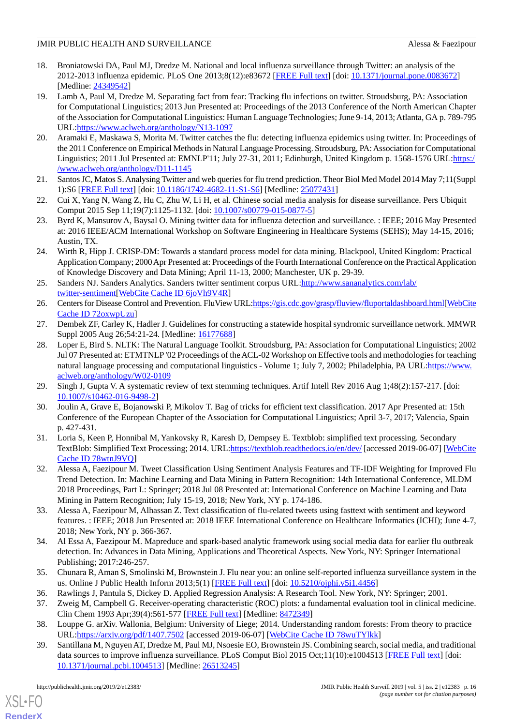- <span id="page-15-0"></span>18. Broniatowski DA, Paul MJ, Dredze M. National and local influenza surveillance through Twitter: an analysis of the 2012-2013 influenza epidemic. PLoS One 2013;8(12):e83672 [\[FREE Full text](http://dx.plos.org/10.1371/journal.pone.0083672)] [doi: [10.1371/journal.pone.0083672\]](http://dx.doi.org/10.1371/journal.pone.0083672) [Medline: [24349542](http://www.ncbi.nlm.nih.gov/entrez/query.fcgi?cmd=Retrieve&db=PubMed&list_uids=24349542&dopt=Abstract)]
- <span id="page-15-1"></span>19. Lamb A, Paul M, Dredze M. Separating fact from fear: Tracking flu infections on twitter. Stroudsburg, PA: Association for Computational Linguistics; 2013 Jun Presented at: Proceedings of the 2013 Conference of the North American Chapter of the Association for Computational Linguistics: Human Language Technologies; June 9-14, 2013; Atlanta, GA p. 789-795 URL[:https://www.aclweb.org/anthology/N13-1097](https://www.aclweb.org/anthology/N13-1097)
- <span id="page-15-2"></span>20. Aramaki E, Maskawa S, Morita M. Twitter catches the flu: detecting influenza epidemics using twitter. In: Proceedings of the 2011 Conference on Empirical Methods in Natural Language Processing. Stroudsburg, PA: Association for Computational Linguistics; 2011 Jul Presented at: EMNLP'11; July 27-31, 2011; Edinburgh, United Kingdom p. 1568-1576 URL:[https:/](https://www.aclweb.org/anthology/D11-1145) [/www.aclweb.org/anthology/D11-1145](https://www.aclweb.org/anthology/D11-1145)
- <span id="page-15-4"></span><span id="page-15-3"></span>21. Santos JC, Matos S. Analysing Twitter and web queries for flu trend prediction. Theor Biol Med Model 2014 May 7;11(Suppl 1):S6 [\[FREE Full text](https://www.biomedcentral.com/1742-4682/11/S1/S6)] [doi: [10.1186/1742-4682-11-S1-S6](http://dx.doi.org/10.1186/1742-4682-11-S1-S6)] [Medline: [25077431](http://www.ncbi.nlm.nih.gov/entrez/query.fcgi?cmd=Retrieve&db=PubMed&list_uids=25077431&dopt=Abstract)]
- <span id="page-15-5"></span>22. Cui X, Yang N, Wang Z, Hu C, Zhu W, Li H, et al. Chinese social media analysis for disease surveillance. Pers Ubiquit Comput 2015 Sep 11;19(7):1125-1132. [doi: [10.1007/s00779-015-0877-5](http://dx.doi.org/10.1007/s00779-015-0877-5)]
- <span id="page-15-6"></span>23. Byrd K, Mansurov A, Baysal O. Mining twitter data for influenza detection and surveillance. : IEEE; 2016 May Presented at: 2016 IEEE/ACM International Workshop on Software Engineering in Healthcare Systems (SEHS); May 14-15, 2016; Austin, TX.
- <span id="page-15-7"></span>24. Wirth R, Hipp J. CRISP-DM: Towards a standard process model for data mining. Blackpool, United Kingdom: Practical Application Company; 2000 Apr Presented at: Proceedings of the Fourth International Conference on the Practical Application of Knowledge Discovery and Data Mining; April 11-13, 2000; Manchester, UK p. 29-39.
- <span id="page-15-9"></span><span id="page-15-8"></span>25. Sanders NJ. Sanders Analytics. Sanders twitter sentiment corpus URL:[http://www.sananalytics.com/lab/](http://www.sananalytics.com/lab/twitter-sentiment) [twitter-sentiment\[](http://www.sananalytics.com/lab/twitter-sentiment)[WebCite Cache ID 6joVh9V4R\]](http://www.webcitation.org/
                                6joVh9V4R)
- <span id="page-15-10"></span>26. Centers for Disease Control and Prevention. FluView URL:[https://gis.cdc.gov/grasp/fluview/fluportaldashboard.html\[](https://gis.cdc.gov/grasp/fluview/fluportaldashboard.html)[WebCite](http://www.webcitation.org/
                                72oxwpUzu) [Cache ID 72oxwpUzu\]](http://www.webcitation.org/
                                72oxwpUzu)
- 27. Dembek ZF, Carley K, Hadler J. Guidelines for constructing a statewide hospital syndromic surveillance network. MMWR Suppl 2005 Aug 26;54:21-24. [Medline: [16177688\]](http://www.ncbi.nlm.nih.gov/entrez/query.fcgi?cmd=Retrieve&db=PubMed&list_uids=16177688&dopt=Abstract)
- <span id="page-15-11"></span>28. Loper E, Bird S. NLTK: The Natural Language Toolkit. Stroudsburg, PA: Association for Computational Linguistics; 2002 Jul 07 Presented at: ETMTNLP '02 Proceedings of the ACL-02 Workshop on Effective tools and methodologies for teaching natural language processing and computational linguistics - Volume 1; July 7, 2002; Philadelphia, PA URL:[https://www.](https://www.aclweb.org/anthology/W02-0109) [aclweb.org/anthology/W02-0109](https://www.aclweb.org/anthology/W02-0109)
- <span id="page-15-13"></span><span id="page-15-12"></span>29. Singh J, Gupta V. A systematic review of text stemming techniques. Artif Intell Rev 2016 Aug 1;48(2):157-217. [doi: [10.1007/s10462-016-9498-2\]](http://dx.doi.org/10.1007/s10462-016-9498-2)
- 30. Joulin A, Grave E, Bojanowski P, Mikolov T. Bag of tricks for efficient text classification. 2017 Apr Presented at: 15th Conference of the European Chapter of the Association for Computational Linguistics; April 3-7, 2017; Valencia, Spain p. 427-431.
- <span id="page-15-14"></span>31. Loria S, Keen P, Honnibal M, Yankovsky R, Karesh D, Dempsey E. Textblob: simplified text processing. Secondary TextBlob: Simplified Text Processing; 2014. URL:<https://textblob.readthedocs.io/en/dev/> [accessed 2019-06-07] [\[WebCite](http://www.webcitation.org/
                                78wtnJ9VQ) [Cache ID 78wtnJ9VQ](http://www.webcitation.org/
                                78wtnJ9VQ)]
- <span id="page-15-16"></span><span id="page-15-15"></span>32. Alessa A, Faezipour M. Tweet Classification Using Sentiment Analysis Features and TF-IDF Weighting for Improved Flu Trend Detection. In: Machine Learning and Data Mining in Pattern Recognition: 14th International Conference, MLDM 2018 Proceedings, Part I.: Springer; 2018 Jul 08 Presented at: International Conference on Machine Learning and Data Mining in Pattern Recognition; July 15-19, 2018; New York, NY p. 174-186.
- <span id="page-15-17"></span>33. Alessa A, Faezipour M, Alhassan Z. Text classification of flu-related tweets using fasttext with sentiment and keyword features. : IEEE; 2018 Jun Presented at: 2018 IEEE International Conference on Healthcare Informatics (ICHI); June 4-7, 2018; New York, NY p. 366-367.
- <span id="page-15-19"></span><span id="page-15-18"></span>34. Al Essa A, Faezipour M. Mapreduce and spark-based analytic framework using social media data for earlier flu outbreak detection. In: Advances in Data Mining, Applications and Theoretical Aspects. New York, NY: Springer International Publishing; 2017:246-257.
- <span id="page-15-21"></span><span id="page-15-20"></span>35. Chunara R, Aman S, Smolinski M, Brownstein J. Flu near you: an online self-reported influenza surveillance system in the us. Online J Public Health Inform 2013;5(1) [\[FREE Full text\]](https://doi.org/10.5210/ojphi.v5i1.4456) [doi: [10.5210/ojphi.v5i1.4456\]](http://dx.doi.org/10.5210/ojphi.v5i1.4456)
- 36. Rawlings J, Pantula S, Dickey D. Applied Regression Analysis: A Research Tool. New York, NY: Springer; 2001.
- 37. Zweig M, Campbell G. Receiver-operating characteristic (ROC) plots: a fundamental evaluation tool in clinical medicine. Clin Chem 1993 Apr;39(4):561-577 [\[FREE Full text\]](http://www.clinchem.org/cgi/pmidlookup?view=long&pmid=8472349) [Medline: [8472349\]](http://www.ncbi.nlm.nih.gov/entrez/query.fcgi?cmd=Retrieve&db=PubMed&list_uids=8472349&dopt=Abstract)
- 38. Louppe G. arXiv. Wallonia, Belgium: University of Liege; 2014. Understanding random forests: From theory to practice URL[:https://arxiv.org/pdf/1407.7502](https://arxiv.org/pdf/1407.7502) [accessed 2019-06-07] [[WebCite Cache ID 78wuTYlkk](http://www.webcitation.org/
                                78wuTYlkk)]
- 39. Santillana M, Nguyen AT, Dredze M, Paul MJ, Nsoesie EO, Brownstein JS. Combining search, social media, and traditional data sources to improve influenza surveillance. PLoS Comput Biol 2015 Oct;11(10):e1004513 [\[FREE Full text\]](http://dx.plos.org/10.1371/journal.pcbi.1004513) [doi: [10.1371/journal.pcbi.1004513](http://dx.doi.org/10.1371/journal.pcbi.1004513)] [Medline: [26513245](http://www.ncbi.nlm.nih.gov/entrez/query.fcgi?cmd=Retrieve&db=PubMed&list_uids=26513245&dopt=Abstract)]